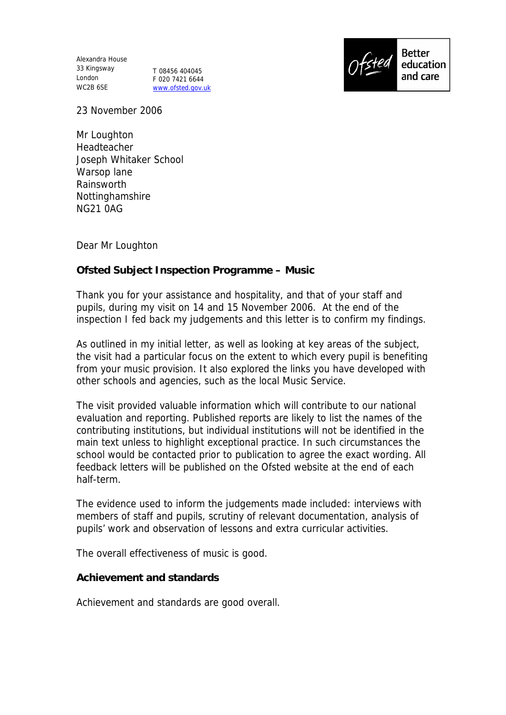Alexandra House 33 Kingsway London WC2B 6SE

T 08456 404045 F 020 7421 6644 www.ofsted.gov.uk



23 November 2006

Mr Loughton Headteacher Joseph Whitaker School Warsop lane Rainsworth Nottinghamshire NG21 0AG

Dear Mr Loughton

**Ofsted Subject Inspection Programme – Music** 

Thank you for your assistance and hospitality, and that of your staff and pupils, during my visit on 14 and 15 November 2006. At the end of the inspection I fed back my judgements and this letter is to confirm my findings.

As outlined in my initial letter, as well as looking at key areas of the subject, the visit had a particular focus on the extent to which every pupil is benefiting from your music provision. It also explored the links you have developed with other schools and agencies, such as the local Music Service.

The visit provided valuable information which will contribute to our national evaluation and reporting. Published reports are likely to list the names of the contributing institutions, but individual institutions will not be identified in the main text unless to highlight exceptional practice. In such circumstances the school would be contacted prior to publication to agree the exact wording. All feedback letters will be published on the Ofsted website at the end of each half-term.

The evidence used to inform the judgements made included: interviews with members of staff and pupils, scrutiny of relevant documentation, analysis of pupils' work and observation of lessons and extra curricular activities.

The overall effectiveness of music is good.

**Achievement and standards** 

Achievement and standards are good overall.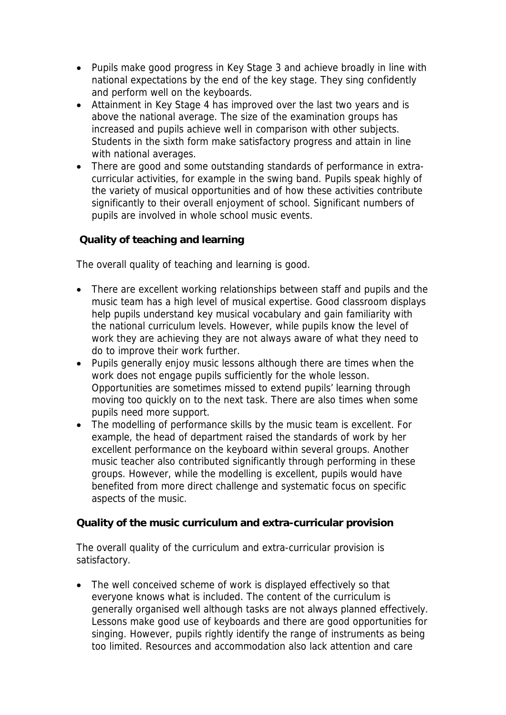- Pupils make good progress in Key Stage 3 and achieve broadly in line with national expectations by the end of the key stage. They sing confidently and perform well on the keyboards.
- Attainment in Key Stage 4 has improved over the last two years and is above the national average. The size of the examination groups has increased and pupils achieve well in comparison with other subjects. Students in the sixth form make satisfactory progress and attain in line with national averages.
- There are good and some outstanding standards of performance in extracurricular activities, for example in the swing band. Pupils speak highly of the variety of musical opportunities and of how these activities contribute significantly to their overall enjoyment of school. Significant numbers of pupils are involved in whole school music events.

 **Quality of teaching and learning**

The overall quality of teaching and learning is good.

- There are excellent working relationships between staff and pupils and the music team has a high level of musical expertise. Good classroom displays help pupils understand key musical vocabulary and gain familiarity with the national curriculum levels. However, while pupils know the level of work they are achieving they are not always aware of what they need to do to improve their work further.
- Pupils generally enjoy music lessons although there are times when the work does not engage pupils sufficiently for the whole lesson. Opportunities are sometimes missed to extend pupils' learning through moving too quickly on to the next task. There are also times when some pupils need more support.
- The modelling of performance skills by the music team is excellent. For example, the head of department raised the standards of work by her excellent performance on the keyboard within several groups. Another music teacher also contributed significantly through performing in these groups. However, while the modelling is excellent, pupils would have benefited from more direct challenge and systematic focus on specific aspects of the music.

**Quality of the music curriculum and extra-curricular provision**

The overall quality of the curriculum and extra-curricular provision is satisfactory.

• The well conceived scheme of work is displayed effectively so that everyone knows what is included. The content of the curriculum is generally organised well although tasks are not always planned effectively. Lessons make good use of keyboards and there are good opportunities for singing. However, pupils rightly identify the range of instruments as being too limited. Resources and accommodation also lack attention and care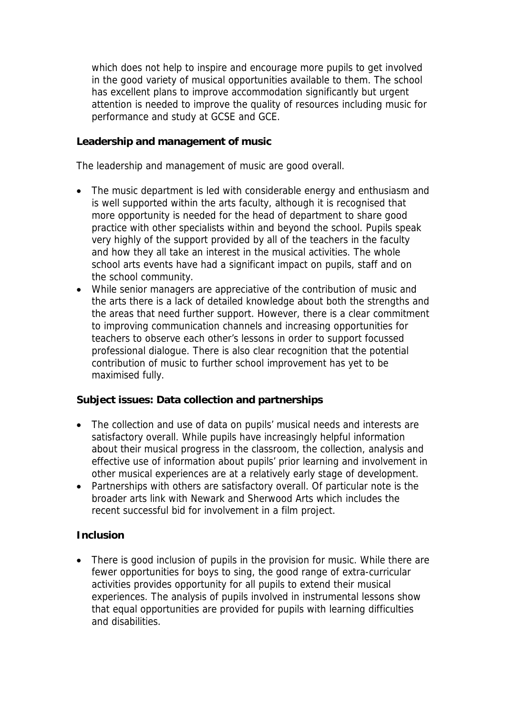which does not help to inspire and encourage more pupils to get involved in the good variety of musical opportunities available to them. The school has excellent plans to improve accommodation significantly but urgent attention is needed to improve the quality of resources including music for performance and study at GCSE and GCE.

**Leadership and management of music**

The leadership and management of music are good overall.

- The music department is led with considerable energy and enthusiasm and is well supported within the arts faculty, although it is recognised that more opportunity is needed for the head of department to share good practice with other specialists within and beyond the school. Pupils speak very highly of the support provided by all of the teachers in the faculty and how they all take an interest in the musical activities. The whole school arts events have had a significant impact on pupils, staff and on the school community.
- While senior managers are appreciative of the contribution of music and the arts there is a lack of detailed knowledge about both the strengths and the areas that need further support. However, there is a clear commitment to improving communication channels and increasing opportunities for teachers to observe each other's lessons in order to support focussed professional dialogue. There is also clear recognition that the potential contribution of music to further school improvement has yet to be maximised fully.

**Subject issues: Data collection and partnerships**

- The collection and use of data on pupils' musical needs and interests are satisfactory overall. While pupils have increasingly helpful information about their musical progress in the classroom, the collection, analysis and effective use of information about pupils' prior learning and involvement in other musical experiences are at a relatively early stage of development.
- Partnerships with others are satisfactory overall. Of particular note is the broader arts link with Newark and Sherwood Arts which includes the recent successful bid for involvement in a film project.

## **Inclusion**

• There is good inclusion of pupils in the provision for music. While there are fewer opportunities for boys to sing, the good range of extra-curricular activities provides opportunity for all pupils to extend their musical experiences. The analysis of pupils involved in instrumental lessons show that equal opportunities are provided for pupils with learning difficulties and disabilities.